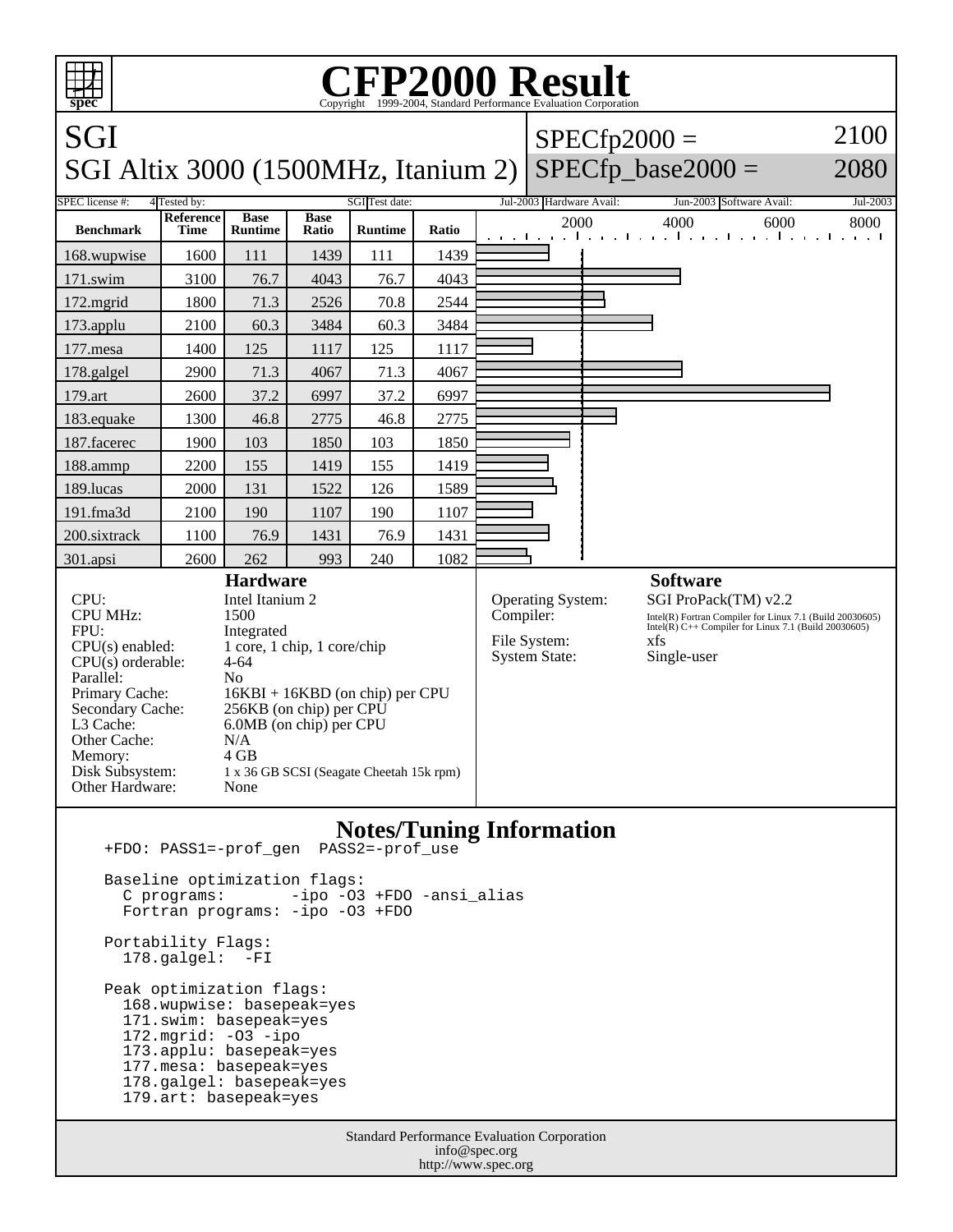

 Portability Flags: 178.galgel: -FI

 Peak optimization flags: 168.wupwise: basepeak=yes 171.swim: basepeak=yes 172.mgrid: -O3 -ipo 173.applu: basepeak=yes 177.mesa: basepeak=yes 178.galgel: basepeak=yes 179.art: basepeak=yes

> Standard Performance Evaluation Corporation info@spec.org http://www.spec.org